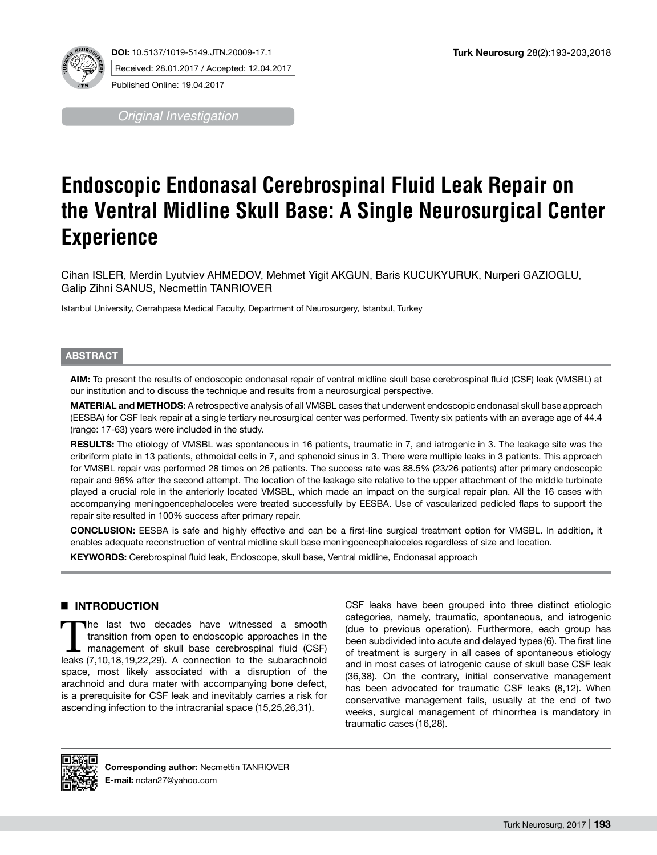

**DOI:** 10.5137/1019-5149.JTN.20009-17.1 Received: 28.01.2017 / Accepted: 12.04.2017

Published Online: 19.04.2017

*Original Investigation*

# **Endoscopic Endonasal Cerebrospinal Fluid Leak Repair on the Ventral Midline Skull Base: A Single Neurosurgical Center Experience**

Cihan ISLER, Merdin Lyutviev AHMEDOV, Mehmet Yigit AKGUN, Baris KUCUKYURUK, Nurperi GAZIOGLU, Galip Zihni SANUS, Necmettin TANRIOVER

Istanbul University, Cerrahpasa Medical Faculty, Department of Neurosurgery, Istanbul, Turkey

#### **ABSTRACT**

**AIM:** To present the results of endoscopic endonasal repair of ventral midline skull base cerebrospinal fluid (CSF) leak (VMSBL) at our institution and to discuss the technique and results from a neurosurgical perspective.

**MATERIAL and METHODS:** A retrospective analysis of all VMSBL cases that underwent endoscopic endonasal skull base approach (EESBA) for CSF leak repair at a single tertiary neurosurgical center was performed. Twenty six patients with an average age of 44.4 (range: 17-63) years were included in the study.

**RESULTS:** The etiology of VMSBL was spontaneous in 16 patients, traumatic in 7, and iatrogenic in 3. The leakage site was the cribriform plate in 13 patients, ethmoidal cells in 7, and sphenoid sinus in 3. There were multiple leaks in 3 patients. This approach for VMSBL repair was performed 28 times on 26 patients. The success rate was 88.5% (23/26 patients) after primary endoscopic repair and 96% after the second attempt. The location of the leakage site relative to the upper attachment of the middle turbinate played a crucial role in the anteriorly located VMSBL, which made an impact on the surgical repair plan. All the 16 cases with accompanying meningoencephaloceles were treated successfully by EESBA. Use of vascularized pedicled flaps to support the repair site resulted in 100% success after primary repair.

**CONCLUSION:** EESBA is safe and highly effective and can be a first-line surgical treatment option for VMSBL. In addition, it enables adequate reconstruction of ventral midline skull base meningoencephaloceles regardless of size and location.

**KEYWORDS:** Cerebrospinal fluid leak, Endoscope, skull base, Ventral midline, Endonasal approach

# █ **INTRODUCTION**

The last two decades have witnessed a smooth<br>transition from open to endoscopic approaches in the<br>management of skull base cerebrospinal fluid (CSF)<br>leaks (7.10.18.19.22.29). A connection to the subgraphed transition from open to endoscopic approaches in the management of skull base cerebrospinal fluid (CSF) leaks (7,10,18,19,22,29). A connection to the subarachnoid space, most likely associated with a disruption of the arachnoid and dura mater with accompanying bone defect, is a prerequisite for CSF leak and inevitably carries a risk for ascending infection to the intracranial space (15,25,26,31).

CSF leaks have been grouped into three distinct etiologic categories, namely, traumatic, spontaneous, and iatrogenic (due to previous operation). Furthermore, each group has been subdivided into acute and delayed types (6). The first line of treatment is surgery in all cases of spontaneous etiology and in most cases of iatrogenic cause of skull base CSF leak (36,38). On the contrary, initial conservative management has been advocated for traumatic CSF leaks (8,12). When conservative management fails, usually at the end of two weeks, surgical management of rhinorrhea is mandatory in traumatic cases (16,28).

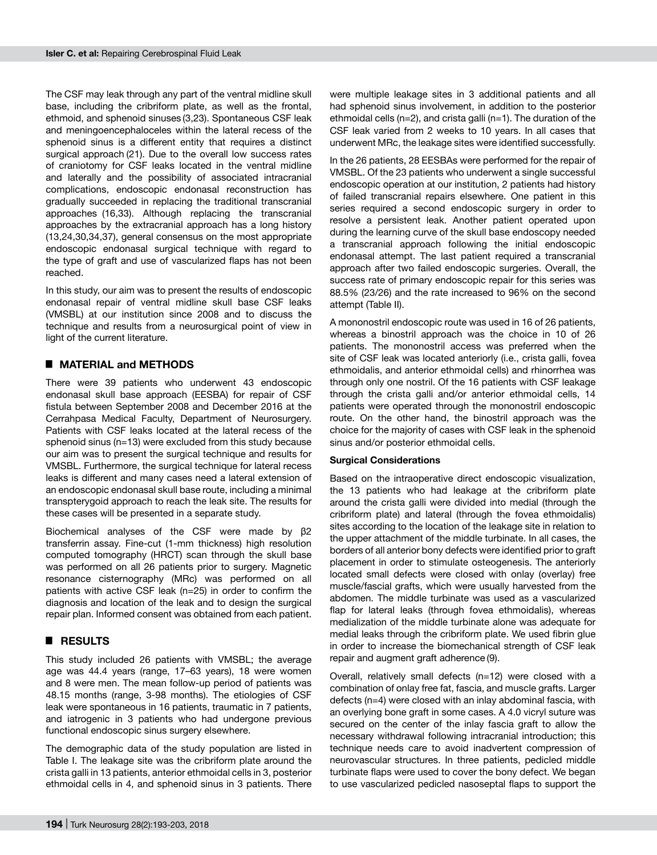The CSF may leak through any part of the ventral midline skull base, including the cribriform plate, as well as the frontal, ethmoid, and sphenoid sinuses (3,23). Spontaneous CSF leak and meningoencephaloceles within the lateral recess of the sphenoid sinus is a different entity that requires a distinct surgical approach (21). Due to the overall low success rates of craniotomy for CSF leaks located in the ventral midline and laterally and the possibility of associated intracranial complications, endoscopic endonasal reconstruction has gradually succeeded in replacing the traditional transcranial approaches (16,33). Although replacing the transcranial approaches by the extracranial approach has a long history (13,24,30,34,37), general consensus on the most appropriate endoscopic endonasal surgical technique with regard to the type of graft and use of vascularized flaps has not been reached.

In this study, our aim was to present the results of endoscopic endonasal repair of ventral midline skull base CSF leaks (VMSBL) at our institution since 2008 and to discuss the technique and results from a neurosurgical point of view in light of the current literature.

# █ **MATERIAL and METHODS**

There were 39 patients who underwent 43 endoscopic endonasal skull base approach (EESBA) for repair of CSF fistula between September 2008 and December 2016 at the Cerrahpasa Medical Faculty, Department of Neurosurgery. Patients with CSF leaks located at the lateral recess of the sphenoid sinus (n=13) were excluded from this study because our aim was to present the surgical technique and results for VMSBL. Furthermore, the surgical technique for lateral recess leaks is different and many cases need a lateral extension of an endoscopic endonasal skull base route, including a minimal transpterygoid approach to reach the leak site. The results for these cases will be presented in a separate study.

Biochemical analyses of the CSF were made by β2 transferrin assay. Fine-cut (1-mm thickness) high resolution computed tomography (HRCT) scan through the skull base was performed on all 26 patients prior to surgery. Magnetic resonance cisternography (MRc) was performed on all patients with active CSF leak (n=25) in order to confirm the diagnosis and location of the leak and to design the surgical repair plan. Informed consent was obtained from each patient.

# █ **RESULTS**

This study included 26 patients with VMSBL; the average age was 44.4 years (range, 17–63 years), 18 were women and 8 were men. The mean follow-up period of patients was 48.15 months (range, 3-98 months). The etiologies of CSF leak were spontaneous in 16 patients, traumatic in 7 patients, and iatrogenic in 3 patients who had undergone previous functional endoscopic sinus surgery elsewhere.

The demographic data of the study population are listed in Table I. The leakage site was the cribriform plate around the crista galli in 13 patients, anterior ethmoidal cells in 3, posterior ethmoidal cells in 4, and sphenoid sinus in 3 patients. There

were multiple leakage sites in 3 additional patients and all had sphenoid sinus involvement, in addition to the posterior ethmoidal cells (n=2), and crista galli (n=1). The duration of the CSF leak varied from 2 weeks to 10 years. In all cases that underwent MRc, the leakage sites were identified successfully.

In the 26 patients, 28 EESBAs were performed for the repair of VMSBL. Of the 23 patients who underwent a single successful endoscopic operation at our institution, 2 patients had history of failed transcranial repairs elsewhere. One patient in this series required a second endoscopic surgery in order to resolve a persistent leak. Another patient operated upon during the learning curve of the skull base endoscopy needed a transcranial approach following the initial endoscopic endonasal attempt. The last patient required a transcranial approach after two failed endoscopic surgeries. Overall, the success rate of primary endoscopic repair for this series was 88.5% (23/26) and the rate increased to 96% on the second attempt (Table II).

A mononostril endoscopic route was used in 16 of 26 patients, whereas a binostril approach was the choice in 10 of 26 patients. The mononostril access was preferred when the site of CSF leak was located anteriorly (i.e., crista galli, fovea ethmoidalis, and anterior ethmoidal cells) and rhinorrhea was through only one nostril. Of the 16 patients with CSF leakage through the crista galli and/or anterior ethmoidal cells, 14 patients were operated through the mononostril endoscopic route. On the other hand, the binostril approach was the choice for the majority of cases with CSF leak in the sphenoid sinus and/or posterior ethmoidal cells.

### **Surgical Considerations**

Based on the intraoperative direct endoscopic visualization, the 13 patients who had leakage at the cribriform plate around the crista galli were divided into medial (through the cribriform plate) and lateral (through the fovea ethmoidalis) sites according to the location of the leakage site in relation to the upper attachment of the middle turbinate. In all cases, the borders of all anterior bony defects were identified prior to graft placement in order to stimulate osteogenesis. The anteriorly located small defects were closed with onlay (overlay) free muscle/fascial grafts, which were usually harvested from the abdomen. The middle turbinate was used as a vascularized flap for lateral leaks (through fovea ethmoidalis), whereas medialization of the middle turbinate alone was adequate for medial leaks through the cribriform plate. We used fibrin glue in order to increase the biomechanical strength of CSF leak repair and augment graft adherence (9).

Overall, relatively small defects (n=12) were closed with a combination of onlay free fat, fascia, and muscle grafts. Larger defects (n=4) were closed with an inlay abdominal fascia, with an overlying bone graft in some cases. A 4.0 vicryl suture was secured on the center of the inlay fascia graft to allow the necessary withdrawal following intracranial introduction; this technique needs care to avoid inadvertent compression of neurovascular structures. In three patients, pedicled middle turbinate flaps were used to cover the bony defect. We began to use vascularized pedicled nasoseptal flaps to support the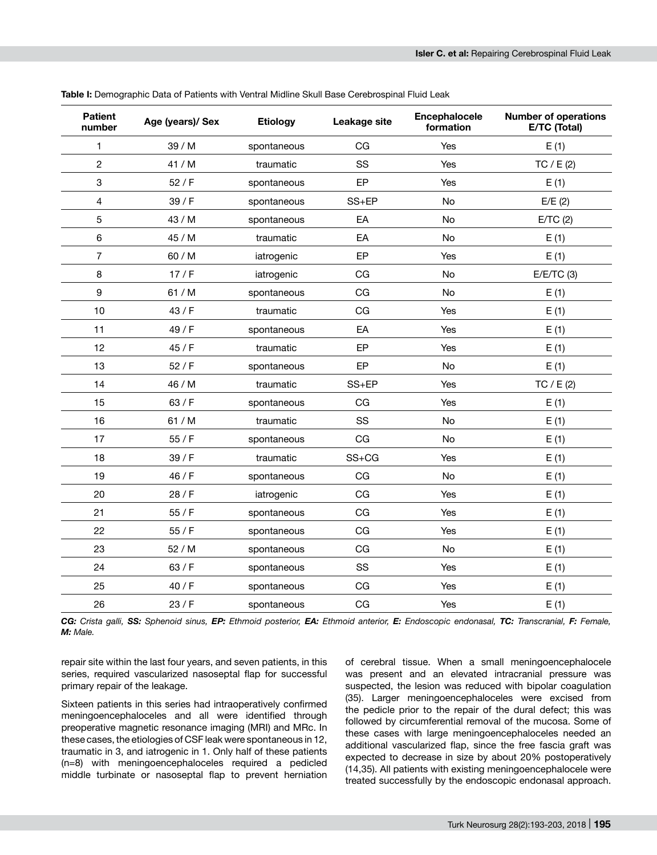| <b>Patient</b><br>number | Age (years)/ Sex | <b>Etiology</b> | Leakage site | Encephalocele<br>formation | <b>Number of operations</b><br>E/TC (Total) |
|--------------------------|------------------|-----------------|--------------|----------------------------|---------------------------------------------|
| 1                        | 39 / M           | spontaneous     | CG           | Yes                        | E(1)                                        |
| $\overline{c}$           | 41/M             | traumatic       | SS           | <b>Yes</b>                 | TC / E(2)                                   |
| 3                        | 52 / F           | spontaneous     | EP           | Yes                        | E(1)                                        |
| 4                        | 39/ F            | spontaneous     | $SS + EP$    | No                         | E/E(2)                                      |
| 5                        | 43 / M           | spontaneous     | EA           | No                         | E/TC(2)                                     |
| 6                        | 45 / M           | traumatic       | EA           | No                         | E(1)                                        |
| $\overline{7}$           | 60 / M           | iatrogenic      | EP           | Yes                        | E(1)                                        |
| 8                        | 17/F             | iatrogenic      | CG           | No                         | $E/E/TC$ (3)                                |
| 9                        | 61 / M           | spontaneous     | CG           | No                         | E(1)                                        |
| 10                       | 43 / F           | traumatic       | CG           | Yes                        | E(1)                                        |
| 11                       | 49 / F           | spontaneous     | EA           | Yes                        | E(1)                                        |
| 12                       | 45 / F           | traumatic       | EP           | Yes                        | E(1)                                        |
| 13                       | 52/ F            | spontaneous     | EP           | No                         | E(1)                                        |
| 14                       | 46 / M           | traumatic       | SS+EP        | Yes                        | TC $/ E(2)$                                 |
| 15                       | 63 / F           | spontaneous     | CG           | Yes                        | E(1)                                        |
| 16                       | 61 / M           | traumatic       | SS           | No.                        | E(1)                                        |
| 17                       | 55/ F            | spontaneous     | CG           | No                         | E(1)                                        |
| 18                       | 39/ F            | traumatic       | $SS + CG$    | Yes                        | E(1)                                        |
| 19                       | 46 / F           | spontaneous     | CG           | No                         | E(1)                                        |
| 20                       | 28 / F           | iatrogenic      | CG           | <b>Yes</b>                 | E(1)                                        |
| 21                       | 55/ F            | spontaneous     | CG           | Yes                        | E(1)                                        |
| 22                       | 55/ F            | spontaneous     | CG           | Yes                        | E(1)                                        |
| 23                       | 52 / M           | spontaneous     | CG           | No                         | E(1)                                        |
| 24                       | 63 / F           | spontaneous     | SS           | <b>Yes</b>                 | E(1)                                        |
| 25                       | 40 / F           | spontaneous     | CG           | Yes                        | E(1)                                        |
| 26                       | 23/ F            | spontaneous     | CG           | Yes                        | E(1)                                        |

**Table I:** Demographic Data of Patients with Ventral Midline Skull Base Cerebrospinal Fluid Leak

CG: Crista galli, SS: Sphenoid sinus, EP: Ethmoid posterior, EA: Ethmoid anterior, E: Endoscopic endonasal, TC: Transcranial, F: Female, *M: Male.*

repair site within the last four years, and seven patients, in this series, required vascularized nasoseptal flap for successful primary repair of the leakage.

Sixteen patients in this series had intraoperatively confirmed meningoencephaloceles and all were identified through preoperative magnetic resonance imaging (MRI) and MRc. In these cases, the etiologies of CSF leak were spontaneous in 12, traumatic in 3, and iatrogenic in 1. Only half of these patients (n=8) with meningoencephaloceles required a pedicled middle turbinate or nasoseptal flap to prevent herniation

of cerebral tissue. When a small meningoencephalocele was present and an elevated intracranial pressure was suspected, the lesion was reduced with bipolar coagulation (35). Larger meningoencephaloceles were excised from the pedicle prior to the repair of the dural defect; this was followed by circumferential removal of the mucosa. Some of these cases with large meningoencephaloceles needed an additional vascularized flap, since the free fascia graft was expected to decrease in size by about 20% postoperatively (14,35). All patients with existing meningoencephalocele were treated successfully by the endoscopic endonasal approach.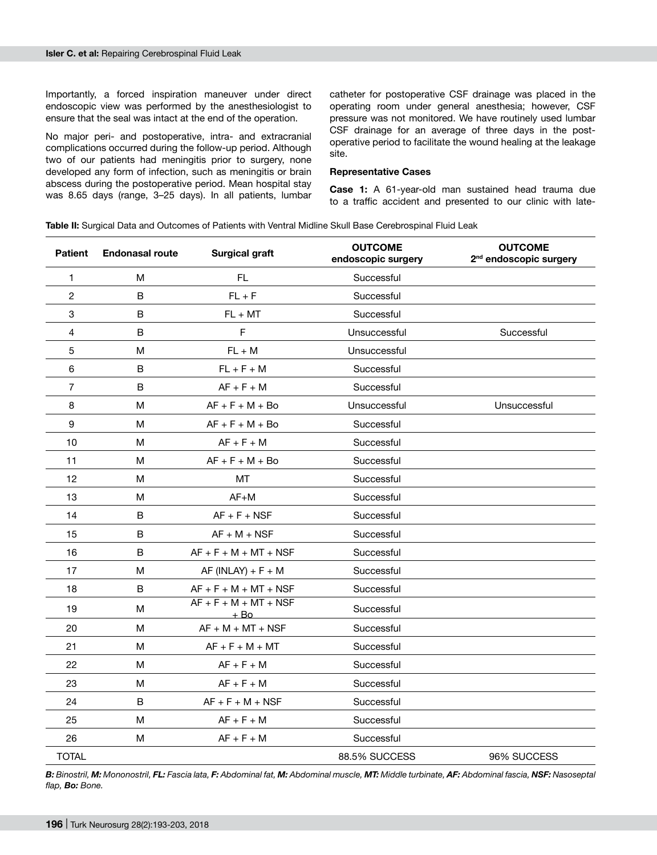Importantly, a forced inspiration maneuver under direct endoscopic view was performed by the anesthesiologist to ensure that the seal was intact at the end of the operation.

No major peri- and postoperative, intra- and extracranial complications occurred during the follow-up period. Although two of our patients had meningitis prior to surgery, none developed any form of infection, such as meningitis or brain abscess during the postoperative period. Mean hospital stay was 8.65 days (range, 3–25 days). In all patients, lumbar

catheter for postoperative CSF drainage was placed in the operating room under general anesthesia; however, CSF pressure was not monitored. We have routinely used lumbar CSF drainage for an average of three days in the postoperative period to facilitate the wound healing at the leakage site.

#### **Representative Cases**

**Case 1:** A 61-year-old man sustained head trauma due to a traffic accident and presented to our clinic with late-

**Table II:** Surgical Data and Outcomes of Patients with Ventral Midline Skull Base Cerebrospinal Fluid Leak

| <b>Patient</b> | <b>Endonasal route</b> | <b>Surgical graft</b>             | <b>OUTCOME</b><br>endoscopic surgery | <b>OUTCOME</b><br>2 <sup>nd</sup> endoscopic surgery |
|----------------|------------------------|-----------------------------------|--------------------------------------|------------------------------------------------------|
| 1              | M                      | FL.                               | Successful                           |                                                      |
| $\overline{2}$ | B                      | $FL + F$                          | Successful                           |                                                      |
| 3              | B                      | $FL + MT$                         | Successful                           |                                                      |
| 4              | B                      | $\mathsf F$                       | Unsuccessful                         | Successful                                           |
| 5              | M                      | $FL + M$                          | Unsuccessful                         |                                                      |
| 6              | B                      | $FL + F + M$                      | Successful                           |                                                      |
| 7              | B                      | $AF + F + M$                      | Successful                           |                                                      |
| 8              | M                      | $AF + F + M + Bo$                 | Unsuccessful                         | Unsuccessful                                         |
| 9              | M                      | $AF + F + M + Bo$                 | Successful                           |                                                      |
| 10             | M                      | $AF + F + M$                      | Successful                           |                                                      |
| 11             | M                      | $AF + F + M + Bo$                 | Successful                           |                                                      |
| 12             | M                      | MT                                | Successful                           |                                                      |
| 13             | M                      | $AF+M$                            | Successful                           |                                                      |
| 14             | B                      | $AF + F + NSF$                    | Successful                           |                                                      |
| 15             | B                      | $AF + M + NSF$                    | Successful                           |                                                      |
| 16             | B                      | $AF + F + M + MT + NSF$           | Successful                           |                                                      |
| 17             | М                      | $AF$ (INLAY) + $F + M$            | Successful                           |                                                      |
| 18             | B                      | $AF + F + M + MT + NSF$           | Successful                           |                                                      |
| 19             | М                      | $AF + F + M + MT + NSF$<br>$+$ Bo | Successful                           |                                                      |
| 20             | М                      | $AF + M + MT + NSF$               | Successful                           |                                                      |
| 21             | M                      | $AF + F + M + MT$                 | Successful                           |                                                      |
| 22             | М                      | $AF + F + M$                      | Successful                           |                                                      |
| 23             | M                      | $AF + F + M$                      | Successful                           |                                                      |
| 24             | B                      | $AF + F + M + NSF$                | Successful                           |                                                      |
| 25             | M                      | $AF + F + M$                      | Successful                           |                                                      |
| 26             | M                      | $AF + F + M$                      | Successful                           |                                                      |
| <b>TOTAL</b>   |                        |                                   | 88.5% SUCCESS                        | 96% SUCCESS                                          |

B: Binostril, M: Mononostril, FL: Fascia lata, F: Abdominal fat, M: Abdominal muscle, MT: Middle turbinate, AF: Abdominal fascia, NSF: Nasoseptal *flap, Bo: Bone.*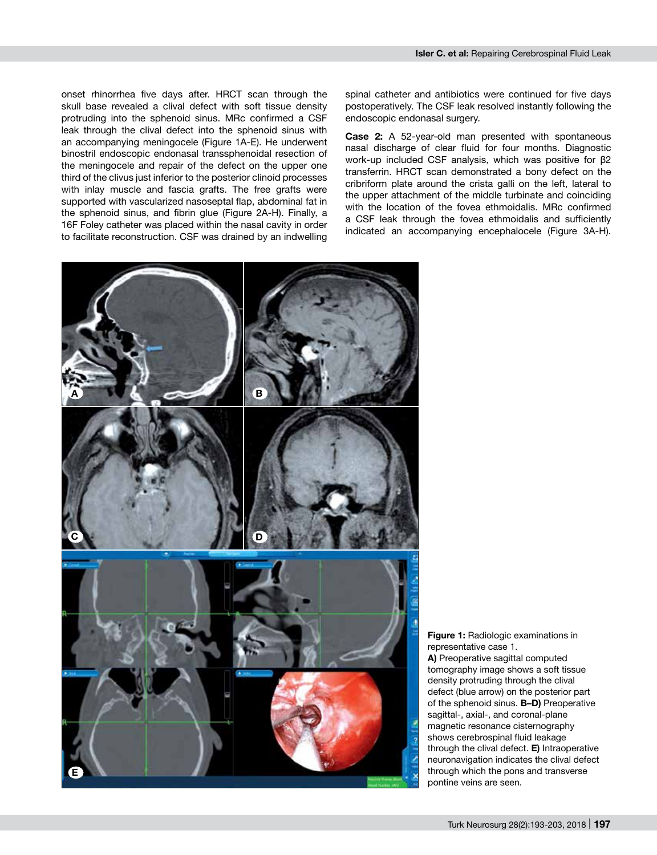onset rhinorrhea five days after. HRCT scan through the skull base revealed a clival defect with soft tissue density protruding into the sphenoid sinus. MRc confirmed a CSF leak through the clival defect into the sphenoid sinus with an accompanying meningocele (Figure 1A-E). He underwent binostril endoscopic endonasal transsphenoidal resection of the meningocele and repair of the defect on the upper one third of the clivus just inferior to the posterior clinoid processes with inlay muscle and fascia grafts. The free grafts were supported with vascularized nasoseptal flap, abdominal fat in the sphenoid sinus, and fibrin glue (Figure 2A-H). Finally, a 16F Foley catheter was placed within the nasal cavity in order to facilitate reconstruction. CSF was drained by an indwelling

spinal catheter and antibiotics were continued for five days postoperatively. The CSF leak resolved instantly following the endoscopic endonasal surgery.

**Case 2:** A 52-year-old man presented with spontaneous nasal discharge of clear fluid for four months. Diagnostic work-up included CSF analysis, which was positive for β2 transferrin. HRCT scan demonstrated a bony defect on the cribriform plate around the crista galli on the left, lateral to the upper attachment of the middle turbinate and coinciding with the location of the fovea ethmoidalis. MRc confirmed a CSF leak through the fovea ethmoidalis and sufficiently indicated an accompanying encephalocele (Figure 3A-H).



**Figure 1:** Radiologic examinations in representative case 1. **A)** Preoperative sagittal computed

tomography image shows a soft tissue density protruding through the clival defect (blue arrow) on the posterior part of the sphenoid sinus. **B–D)** Preoperative sagittal-, axial-, and coronal-plane magnetic resonance cisternography shows cerebrospinal fluid leakage through the clival defect. **E)** Intraoperative neuronavigation indicates the clival defect through which the pons and transverse pontine veins are seen.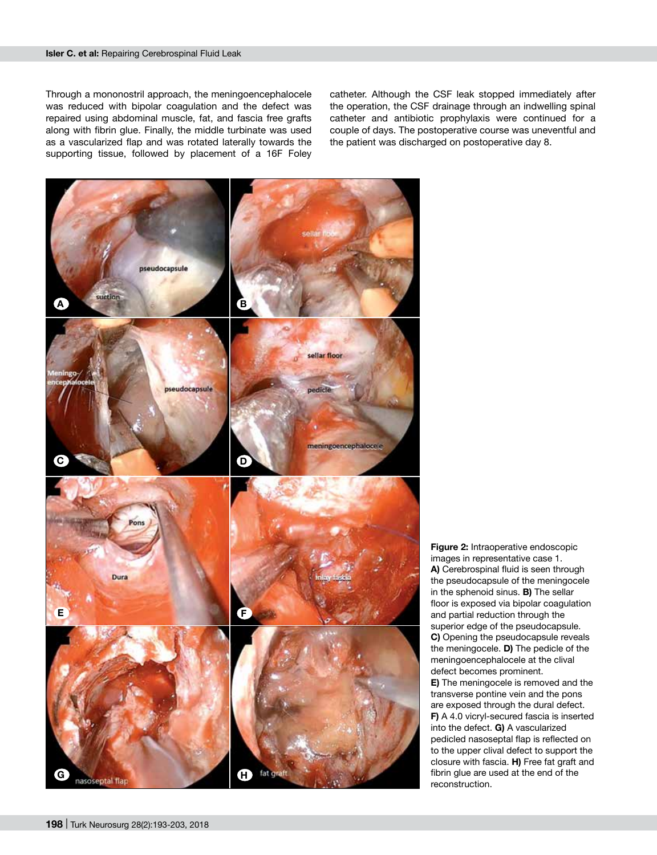#### **Isler C. et al:** Repairing Cerebrospinal Fluid Leak

Through a mononostril approach, the meningoencephalocele was reduced with bipolar coagulation and the defect was repaired using abdominal muscle, fat, and fascia free grafts along with fibrin glue. Finally, the middle turbinate was used as a vascularized flap and was rotated laterally towards the supporting tissue, followed by placement of a 16F Foley

catheter. Although the CSF leak stopped immediately after the operation, the CSF drainage through an indwelling spinal catheter and antibiotic prophylaxis were continued for a couple of days. The postoperative course was uneventful and the patient was discharged on postoperative day 8.



**Figure 2:** Intraoperative endoscopic images in representative case 1. **A)** Cerebrospinal fluid is seen through the pseudocapsule of the meningocele in the sphenoid sinus. **B)** The sellar floor is exposed via bipolar coagulation and partial reduction through the superior edge of the pseudocapsule. **C)** Opening the pseudocapsule reveals the meningocele. **D)** The pedicle of the meningoencephalocele at the clival defect becomes prominent. **E)** The meningocele is removed and the transverse pontine vein and the pons are exposed through the dural defect. **F)** A 4.0 vicryl-secured fascia is inserted into the defect. **G)** A vascularized pedicled nasoseptal flap is reflected on to the upper clival defect to support the closure with fascia. **H)** Free fat graft and fibrin glue are used at the end of the reconstruction.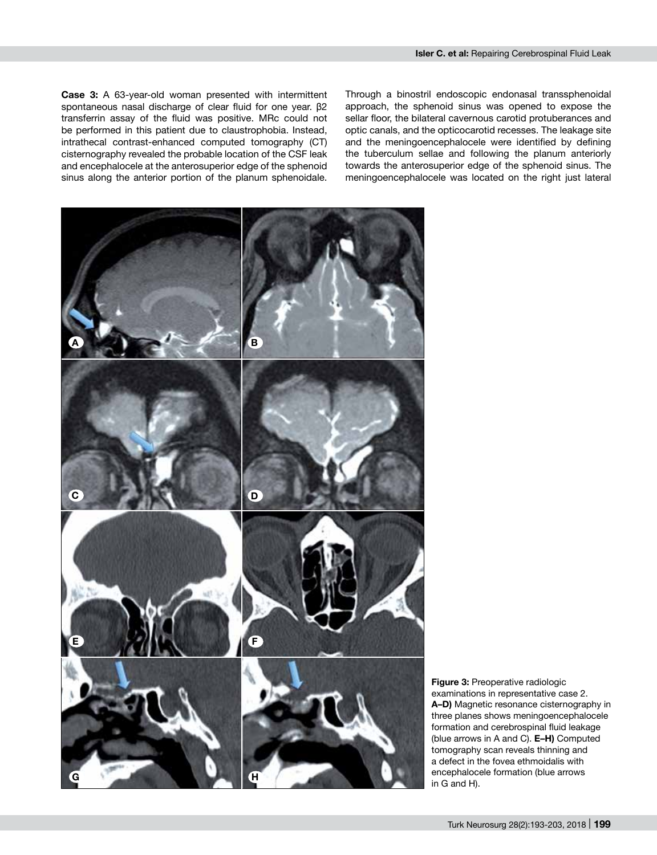**Case 3:** A 63-year-old woman presented with intermittent spontaneous nasal discharge of clear fluid for one year. β2 transferrin assay of the fluid was positive. MRc could not be performed in this patient due to claustrophobia. Instead, intrathecal contrast-enhanced computed tomography (CT) cisternography revealed the probable location of the CSF leak and encephalocele at the anterosuperior edge of the sphenoid sinus along the anterior portion of the planum sphenoidale.

Through a binostril endoscopic endonasal transsphenoidal approach, the sphenoid sinus was opened to expose the sellar floor, the bilateral cavernous carotid protuberances and optic canals, and the opticocarotid recesses. The leakage site and the meningoencephalocele were identified by defining the tuberculum sellae and following the planum anteriorly towards the anterosuperior edge of the sphenoid sinus. The meningoencephalocele was located on the right just lateral



**Figure 3:** Preoperative radiologic examinations in representative case 2. **A–D)** Magnetic resonance cisternography in three planes shows meningoencephalocele formation and cerebrospinal fluid leakage (blue arrows in A and C). **E–H)** Computed tomography scan reveals thinning and a defect in the fovea ethmoidalis with encephalocele formation (blue arrows in G and H).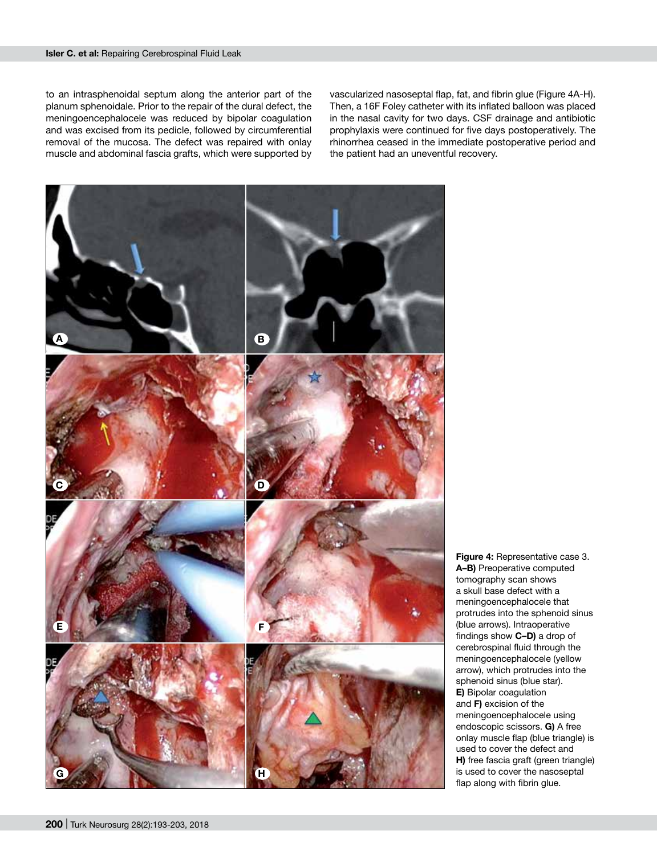to an intrasphenoidal septum along the anterior part of the planum sphenoidale. Prior to the repair of the dural defect, the meningoencephalocele was reduced by bipolar coagulation and was excised from its pedicle, followed by circumferential removal of the mucosa. The defect was repaired with onlay muscle and abdominal fascia grafts, which were supported by

vascularized nasoseptal flap, fat, and fibrin glue (Figure 4A-H). Then, a 16F Foley catheter with its inflated balloon was placed in the nasal cavity for two days. CSF drainage and antibiotic prophylaxis were continued for five days postoperatively. The rhinorrhea ceased in the immediate postoperative period and the patient had an uneventful recovery.



**Figure 4:** Representative case 3. **A–B)** Preoperative computed tomography scan shows a skull base defect with a meningoencephalocele that protrudes into the sphenoid sinus (blue arrows). Intraoperative findings show **C–D)** a drop of cerebrospinal fluid through the meningoencephalocele (yellow arrow), which protrudes into the sphenoid sinus (blue star). **E)** Bipolar coagulation and **F)** excision of the meningoencephalocele using endoscopic scissors. **G)** A free onlay muscle flap (blue triangle) is used to cover the defect and **H)** free fascia graft (green triangle) is used to cover the nasoseptal flap along with fibrin glue.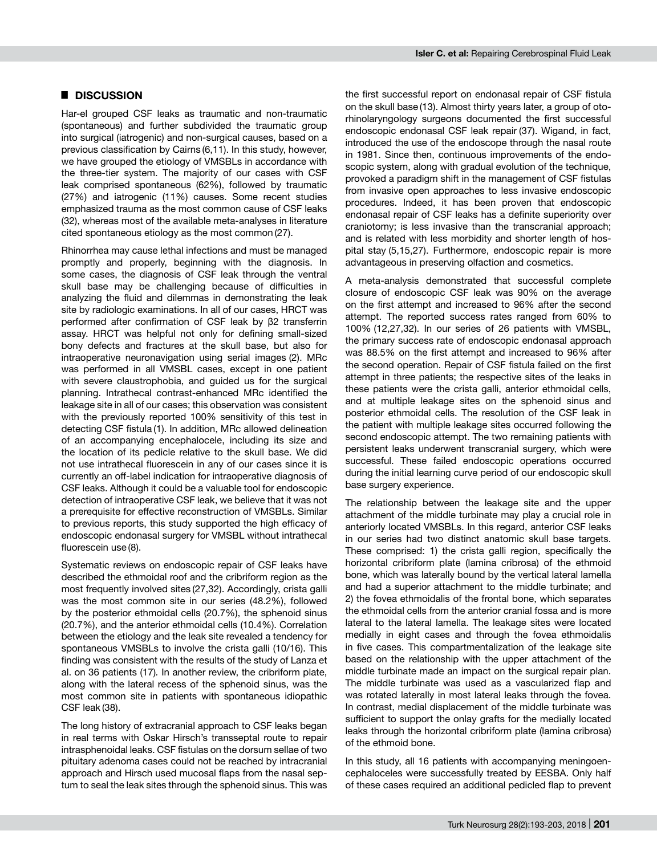# █ **DISCUSSION**

Har-el grouped CSF leaks as traumatic and non-traumatic (spontaneous) and further subdivided the traumatic group into surgical (iatrogenic) and non-surgical causes, based on a previous classification by Cairns (6,11). In this study, however, we have grouped the etiology of VMSBLs in accordance with the three-tier system. The majority of our cases with CSF leak comprised spontaneous (62%), followed by traumatic (27%) and iatrogenic (11%) causes. Some recent studies emphasized trauma as the most common cause of CSF leaks (32), whereas most of the available meta-analyses in literature cited spontaneous etiology as the most common (27).

Rhinorrhea may cause lethal infections and must be managed promptly and properly, beginning with the diagnosis. In some cases, the diagnosis of CSF leak through the ventral skull base may be challenging because of difficulties in analyzing the fluid and dilemmas in demonstrating the leak site by radiologic examinations. In all of our cases, HRCT was performed after confirmation of CSF leak by β2 transferrin assay. HRCT was helpful not only for defining small-sized bony defects and fractures at the skull base, but also for intraoperative neuronavigation using serial images (2). MRc was performed in all VMSBL cases, except in one patient with severe claustrophobia, and guided us for the surgical planning. Intrathecal contrast-enhanced MRc identified the leakage site in all of our cases; this observation was consistent with the previously reported 100% sensitivity of this test in detecting CSF fistula (1). In addition, MRc allowed delineation of an accompanying encephalocele, including its size and the location of its pedicle relative to the skull base. We did not use intrathecal fluorescein in any of our cases since it is currently an off-label indication for intraoperative diagnosis of CSF leaks. Although it could be a valuable tool for endoscopic detection of intraoperative CSF leak, we believe that it was not a prerequisite for effective reconstruction of VMSBLs. Similar to previous reports, this study supported the high efficacy of endoscopic endonasal surgery for VMSBL without intrathecal fluorescein use (8).

Systematic reviews on endoscopic repair of CSF leaks have described the ethmoidal roof and the cribriform region as the most frequently involved sites (27,32). Accordingly, crista galli was the most common site in our series (48.2%), followed by the posterior ethmoidal cells (20.7%), the sphenoid sinus (20.7%), and the anterior ethmoidal cells (10.4%). Correlation between the etiology and the leak site revealed a tendency for spontaneous VMSBLs to involve the crista galli (10/16). This finding was consistent with the results of the study of Lanza et al. on 36 patients (17)*.* In another review, the cribriform plate, along with the lateral recess of the sphenoid sinus, was the most common site in patients with spontaneous idiopathic CSF leak (38).

The long history of extracranial approach to CSF leaks began in real terms with Oskar Hirsch's transseptal route to repair intrasphenoidal leaks. CSF fistulas on the dorsum sellae of two pituitary adenoma cases could not be reached by intracranial approach and Hirsch used mucosal flaps from the nasal septum to seal the leak sites through the sphenoid sinus. This was

the first successful report on endonasal repair of CSF fistula on the skull base (13). Almost thirty years later, a group of otorhinolaryngology surgeons documented the first successful endoscopic endonasal CSF leak repair (37). Wigand, in fact, introduced the use of the endoscope through the nasal route in 1981. Since then, continuous improvements of the endoscopic system, along with gradual evolution of the technique, provoked a paradigm shift in the management of CSF fistulas from invasive open approaches to less invasive endoscopic procedures. Indeed, it has been proven that endoscopic endonasal repair of CSF leaks has a definite superiority over craniotomy; is less invasive than the transcranial approach; and is related with less morbidity and shorter length of hospital stay (5,15,27). Furthermore, endoscopic repair is more advantageous in preserving olfaction and cosmetics.

A meta-analysis demonstrated that successful complete closure of endoscopic CSF leak was 90% on the average on the first attempt and increased to 96% after the second attempt. The reported success rates ranged from 60% to 100% (12,27,32). In our series of 26 patients with VMSBL, the primary success rate of endoscopic endonasal approach was 88.5% on the first attempt and increased to 96% after the second operation. Repair of CSF fistula failed on the first attempt in three patients; the respective sites of the leaks in these patients were the crista galli, anterior ethmoidal cells, and at multiple leakage sites on the sphenoid sinus and posterior ethmoidal cells. The resolution of the CSF leak in the patient with multiple leakage sites occurred following the second endoscopic attempt. The two remaining patients with persistent leaks underwent transcranial surgery, which were successful. These failed endoscopic operations occurred during the initial learning curve period of our endoscopic skull base surgery experience.

The relationship between the leakage site and the upper attachment of the middle turbinate may play a crucial role in anteriorly located VMSBLs. In this regard, anterior CSF leaks in our series had two distinct anatomic skull base targets. These comprised: 1) the crista galli region, specifically the horizontal cribriform plate (lamina cribrosa) of the ethmoid bone, which was laterally bound by the vertical lateral lamella and had a superior attachment to the middle turbinate; and 2) the fovea ethmoidalis of the frontal bone, which separates the ethmoidal cells from the anterior cranial fossa and is more lateral to the lateral lamella. The leakage sites were located medially in eight cases and through the fovea ethmoidalis in five cases. This compartmentalization of the leakage site based on the relationship with the upper attachment of the middle turbinate made an impact on the surgical repair plan. The middle turbinate was used as a vascularized flap and was rotated laterally in most lateral leaks through the fovea. In contrast, medial displacement of the middle turbinate was sufficient to support the onlay grafts for the medially located leaks through the horizontal cribriform plate (lamina cribrosa) of the ethmoid bone.

In this study, all 16 patients with accompanying meningoencephaloceles were successfully treated by EESBA. Only half of these cases required an additional pedicled flap to prevent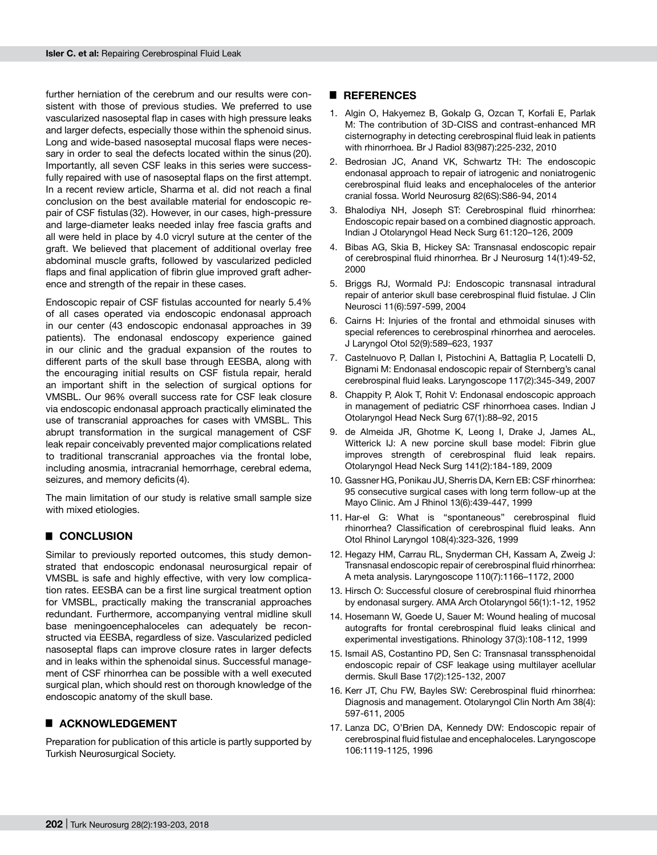further herniation of the cerebrum and our results were consistent with those of previous studies. We preferred to use vascularized nasoseptal flap in cases with high pressure leaks and larger defects, especially those within the sphenoid sinus. Long and wide-based nasoseptal mucosal flaps were necessary in order to seal the defects located within the sinus (20). Importantly, all seven CSF leaks in this series were successfully repaired with use of nasoseptal flaps on the first attempt. In a recent review article, Sharma et al. did not reach a final conclusion on the best available material for endoscopic repair of CSF fistulas (32). However, in our cases, high-pressure and large-diameter leaks needed inlay free fascia grafts and all were held in place by 4.0 vicryl suture at the center of the graft. We believed that placement of additional overlay free abdominal muscle grafts, followed by vascularized pedicled flaps and final application of fibrin glue improved graft adherence and strength of the repair in these cases.

Endoscopic repair of CSF fistulas accounted for nearly 5.4% of all cases operated via endoscopic endonasal approach in our center (43 endoscopic endonasal approaches in 39 patients). The endonasal endoscopy experience gained in our clinic and the gradual expansion of the routes to different parts of the skull base through EESBA, along with the encouraging initial results on CSF fistula repair, herald an important shift in the selection of surgical options for VMSBL. Our 96% overall success rate for CSF leak closure via endoscopic endonasal approach practically eliminated the use of transcranial approaches for cases with VMSBL. This abrupt transformation in the surgical management of CSF leak repair conceivably prevented major complications related to traditional transcranial approaches via the frontal lobe, including anosmia, intracranial hemorrhage, cerebral edema, seizures, and memory deficits (4).

The main limitation of our study is relative small sample size with mixed etiologies.

# █ **CONCLUSION**

Similar to previously reported outcomes, this study demonstrated that endoscopic endonasal neurosurgical repair of VMSBL is safe and highly effective, with very low complication rates. EESBA can be a first line surgical treatment option for VMSBL, practically making the transcranial approaches redundant. Furthermore, accompanying ventral midline skull base meningoencephaloceles can adequately be reconstructed via EESBA, regardless of size. Vascularized pedicled nasoseptal flaps can improve closure rates in larger defects and in leaks within the sphenoidal sinus. Successful management of CSF rhinorrhea can be possible with a well executed surgical plan, which should rest on thorough knowledge of the endoscopic anatomy of the skull base.

# █ **ACKNOWLEDGEMENT**

Preparation for publication of this article is partly supported by Turkish Neurosurgical Society.

# █ **REFERENCES**

- 1. Algin O, Hakyemez B, Gokalp G, Ozcan T, Korfali E, Parlak M: The contribution of 3D-CISS and contrast-enhanced MR cisternography in detecting cerebrospinal fluid leak in patients with rhinorrhoea. Br J Radiol 83(987):225-232, 2010
- 2. Bedrosian JC, Anand VK, Schwartz TH: The endoscopic endonasal approach to repair of iatrogenic and noniatrogenic cerebrospinal fluid leaks and encephaloceles of the anterior cranial fossa. World Neurosurg 82(6S):S86-94, 2014
- 3. Bhalodiya NH, Joseph ST: Cerebrospinal fluid rhinorrhea: Endoscopic repair based on a combined diagnostic approach. Indian J Otolaryngol Head Neck Surg 61:120–126, 2009
- 4. Bibas AG, Skia B, Hickey SA: Transnasal endoscopic repair of cerebrospinal fluid rhinorrhea. Br J Neurosurg 14(1):49-52, 2000
- 5. Briggs RJ, Wormald PJ: Endoscopic transnasal intradural repair of anterior skull base cerebrospinal fluid fistulae. J Clin Neurosci 11(6):597-599, 2004
- 6. Cairns H: Injuries of the frontal and ethmoidal sinuses with special references to cerebrospinal rhinorrhea and aeroceles. J Laryngol Otol 52(9):589–623, 1937
- 7. Castelnuovo P, Dallan I, Pistochini A, Battaglia P, Locatelli D, Bignami M: Endonasal endoscopic repair of Sternberg's canal cerebrospinal fluid leaks. Laryngoscope 117(2):345-349, 2007
- 8. Chappity P, Alok T, Rohit V: Endonasal endoscopic approach in management of pediatric CSF rhinorrhoea cases. Indian J Otolaryngol Head Neck Surg 67(1):88–92, 2015
- 9. de Almeida JR, Ghotme K, Leong I, Drake J, James AL, Witterick IJ: A new porcine skull base model: Fibrin glue improves strength of cerebrospinal fluid leak repairs. Otolaryngol Head Neck Surg 141(2):184-189, 2009
- 10. Gassner HG, Ponikau JU, Sherris DA, Kern EB: CSF rhinorrhea: 95 consecutive surgical cases with long term follow-up at the Mayo Clinic. Am J Rhinol 13(6):439-447, 1999
- 11. Har-el G: What is ''spontaneous'' cerebrospinal fluid rhinorrhea? Classification of cerebrospinal fluid leaks. Ann Otol Rhinol Laryngol 108(4):323-326, 1999
- 12. Hegazy HM, Carrau RL, Snyderman CH, Kassam A, Zweig J: Transnasal endoscopic repair of cerebrospinal fluid rhinorrhea: A meta analysis. Laryngoscope 110(7):1166–1172, 2000
- 13. Hirsch O: Successful closure of cerebrospinal fluid rhinorrhea by endonasal surgery. AMA Arch Otolaryngol 56(1):1-12, 1952
- 14. Hosemann W, Goede U, Sauer M: Wound healing of mucosal autografts for frontal cerebrospinal fluid leaks clinical and experimental investigations. Rhinology 37(3):108-112, 1999
- 15. Ismail AS, Costantino PD, Sen C: Transnasal transsphenoidal endoscopic repair of CSF leakage using multilayer acellular dermis. Skull Base 17(2):125-132, 2007
- 16. Kerr JT, Chu FW, Bayles SW: Cerebrospinal fluid rhinorrhea: Diagnosis and management. Otolaryngol Clin North Am 38(4): 597-611, 2005
- 17. Lanza DC, O'Brien DA, Kennedy DW: Endoscopic repair of cerebrospinal fluid fistulae and encephaloceles. Laryngoscope 106:1119-1125, 1996